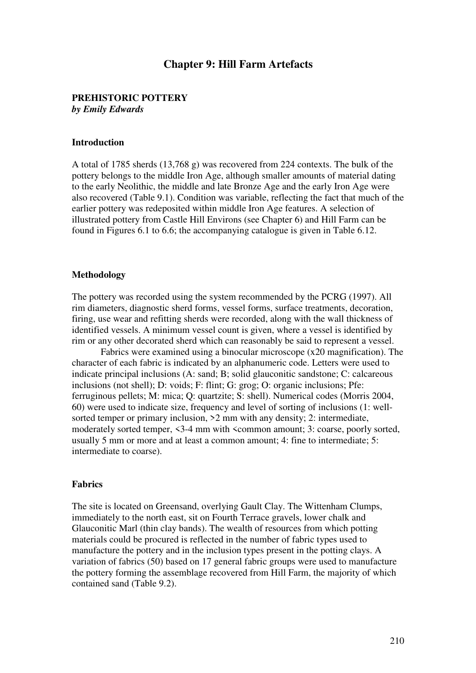# **Chapter 9: Hill Farm Artefacts**

# **PREHISTORIC POTTERY**

*by Emily Edwards* 

### **Introduction**

A total of 1785 sherds (13,768 g) was recovered from 224 contexts. The bulk of the pottery belongs to the middle Iron Age, although smaller amounts of material dating to the early Neolithic, the middle and late Bronze Age and the early Iron Age were also recovered (Table 9.1). Condition was variable, reflecting the fact that much of the earlier pottery was redeposited within middle Iron Age features. A selection of illustrated pottery from Castle Hill Environs (see Chapter 6) and Hill Farm can be found in Figures 6.1 to 6.6; the accompanying catalogue is given in Table 6.12.

### **Methodology**

The pottery was recorded using the system recommended by the PCRG (1997). All rim diameters, diagnostic sherd forms, vessel forms, surface treatments, decoration, firing, use wear and refitting sherds were recorded, along with the wall thickness of identified vessels. A minimum vessel count is given, where a vessel is identified by rim or any other decorated sherd which can reasonably be said to represent a vessel.

Fabrics were examined using a binocular microscope (x20 magnification). The character of each fabric is indicated by an alphanumeric code. Letters were used to indicate principal inclusions (A: sand; B; solid glauconitic sandstone; C: calcareous inclusions (not shell); D: voids; F: flint; G: grog; O: organic inclusions; Pfe: ferruginous pellets; M: mica; Q: quartzite; S: shell). Numerical codes (Morris 2004, 60) were used to indicate size, frequency and level of sorting of inclusions (1: wellsorted temper or primary inclusion, >2 mm with any density; 2: intermediate, moderately sorted temper,  $\leq$ 3-4 mm with  $\leq$ common amount; 3: coarse, poorly sorted, usually 5 mm or more and at least a common amount; 4: fine to intermediate; 5: intermediate to coarse).

#### **Fabrics**

The site is located on Greensand, overlying Gault Clay. The Wittenham Clumps, immediately to the north east, sit on Fourth Terrace gravels, lower chalk and Glauconitic Marl (thin clay bands). The wealth of resources from which potting materials could be procured is reflected in the number of fabric types used to manufacture the pottery and in the inclusion types present in the potting clays. A variation of fabrics (50) based on 17 general fabric groups were used to manufacture the pottery forming the assemblage recovered from Hill Farm, the majority of which contained sand (Table 9.2).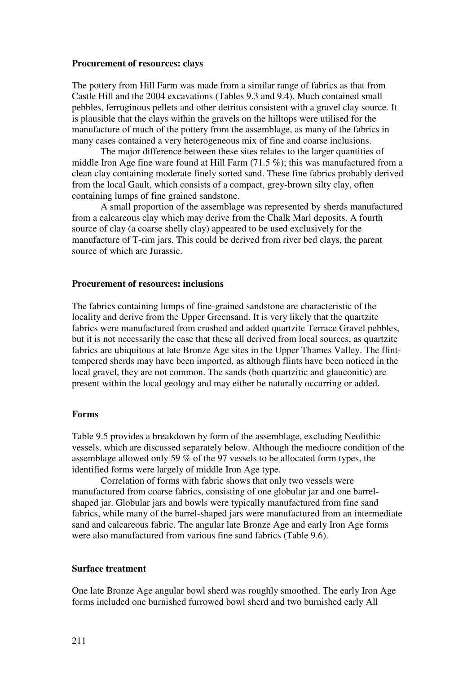### **Procurement of resources: clays**

The pottery from Hill Farm was made from a similar range of fabrics as that from Castle Hill and the 2004 excavations (Tables 9.3 and 9.4). Much contained small pebbles, ferruginous pellets and other detritus consistent with a gravel clay source. It is plausible that the clays within the gravels on the hilltops were utilised for the manufacture of much of the pottery from the assemblage, as many of the fabrics in many cases contained a very heterogeneous mix of fine and coarse inclusions.

The major difference between these sites relates to the larger quantities of middle Iron Age fine ware found at Hill Farm (71.5 %); this was manufactured from a clean clay containing moderate finely sorted sand. These fine fabrics probably derived from the local Gault, which consists of a compact, grey-brown silty clay, often containing lumps of fine grained sandstone.

A small proportion of the assemblage was represented by sherds manufactured from a calcareous clay which may derive from the Chalk Marl deposits. A fourth source of clay (a coarse shelly clay) appeared to be used exclusively for the manufacture of T-rim jars. This could be derived from river bed clays, the parent source of which are Jurassic.

# **Procurement of resources: inclusions**

The fabrics containing lumps of fine-grained sandstone are characteristic of the locality and derive from the Upper Greensand. It is very likely that the quartzite fabrics were manufactured from crushed and added quartzite Terrace Gravel pebbles, but it is not necessarily the case that these all derived from local sources, as quartzite fabrics are ubiquitous at late Bronze Age sites in the Upper Thames Valley. The flinttempered sherds may have been imported, as although flints have been noticed in the local gravel, they are not common. The sands (both quartzitic and glauconitic) are present within the local geology and may either be naturally occurring or added.

# **Forms**

Table 9.5 provides a breakdown by form of the assemblage, excluding Neolithic vessels, which are discussed separately below. Although the mediocre condition of the assemblage allowed only 59 % of the 97 vessels to be allocated form types, the identified forms were largely of middle Iron Age type.

Correlation of forms with fabric shows that only two vessels were manufactured from coarse fabrics, consisting of one globular jar and one barrelshaped jar. Globular jars and bowls were typically manufactured from fine sand fabrics, while many of the barrel-shaped jars were manufactured from an intermediate sand and calcareous fabric. The angular late Bronze Age and early Iron Age forms were also manufactured from various fine sand fabrics (Table 9.6).

### **Surface treatment**

One late Bronze Age angular bowl sherd was roughly smoothed. The early Iron Age forms included one burnished furrowed bowl sherd and two burnished early All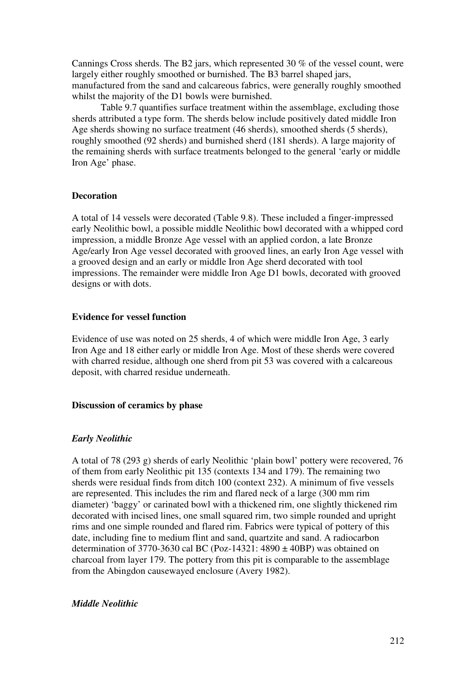Cannings Cross sherds. The B2 jars, which represented 30 % of the vessel count, were largely either roughly smoothed or burnished. The B3 barrel shaped jars, manufactured from the sand and calcareous fabrics, were generally roughly smoothed whilst the majority of the D1 bowls were burnished.

Table 9.7 quantifies surface treatment within the assemblage, excluding those sherds attributed a type form. The sherds below include positively dated middle Iron Age sherds showing no surface treatment (46 sherds), smoothed sherds (5 sherds), roughly smoothed (92 sherds) and burnished sherd (181 sherds). A large majority of the remaining sherds with surface treatments belonged to the general 'early or middle Iron Age' phase.

### **Decoration**

A total of 14 vessels were decorated (Table 9.8). These included a finger-impressed early Neolithic bowl, a possible middle Neolithic bowl decorated with a whipped cord impression, a middle Bronze Age vessel with an applied cordon, a late Bronze Age/early Iron Age vessel decorated with grooved lines, an early Iron Age vessel with a grooved design and an early or middle Iron Age sherd decorated with tool impressions. The remainder were middle Iron Age D1 bowls, decorated with grooved designs or with dots.

### **Evidence for vessel function**

Evidence of use was noted on 25 sherds, 4 of which were middle Iron Age, 3 early Iron Age and 18 either early or middle Iron Age. Most of these sherds were covered with charred residue, although one sherd from pit 53 was covered with a calcareous deposit, with charred residue underneath.

### **Discussion of ceramics by phase**

# *Early Neolithic*

A total of 78 (293 g) sherds of early Neolithic 'plain bowl' pottery were recovered, 76 of them from early Neolithic pit 135 (contexts 134 and 179). The remaining two sherds were residual finds from ditch 100 (context 232). A minimum of five vessels are represented. This includes the rim and flared neck of a large (300 mm rim diameter) 'baggy' or carinated bowl with a thickened rim, one slightly thickened rim decorated with incised lines, one small squared rim, two simple rounded and upright rims and one simple rounded and flared rim. Fabrics were typical of pottery of this date, including fine to medium flint and sand, quartzite and sand. A radiocarbon determination of 3770-3630 cal BC (Poz-14321:  $4890 \pm 40BP$ ) was obtained on charcoal from layer 179. The pottery from this pit is comparable to the assemblage from the Abingdon causewayed enclosure (Avery 1982).

### *Middle Neolithic*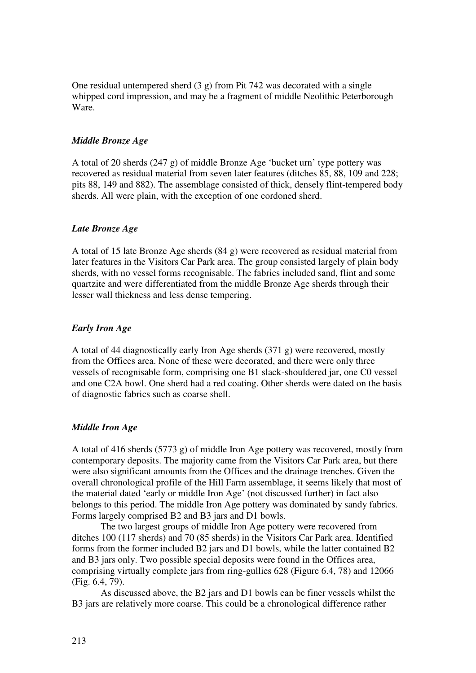One residual untempered sherd  $(3 g)$  from Pit 742 was decorated with a single whipped cord impression, and may be a fragment of middle Neolithic Peterborough Ware.

# *Middle Bronze Age*

A total of 20 sherds (247 g) of middle Bronze Age 'bucket urn' type pottery was recovered as residual material from seven later features (ditches 85, 88, 109 and 228; pits 88, 149 and 882). The assemblage consisted of thick, densely flint-tempered body sherds. All were plain, with the exception of one cordoned sherd.

### *Late Bronze Age*

A total of 15 late Bronze Age sherds (84 g) were recovered as residual material from later features in the Visitors Car Park area. The group consisted largely of plain body sherds, with no vessel forms recognisable. The fabrics included sand, flint and some quartzite and were differentiated from the middle Bronze Age sherds through their lesser wall thickness and less dense tempering.

### *Early Iron Age*

A total of 44 diagnostically early Iron Age sherds (371 g) were recovered, mostly from the Offices area. None of these were decorated, and there were only three vessels of recognisable form, comprising one B1 slack-shouldered jar, one C0 vessel and one C2A bowl. One sherd had a red coating. Other sherds were dated on the basis of diagnostic fabrics such as coarse shell.

### *Middle Iron Age*

A total of 416 sherds (5773 g) of middle Iron Age pottery was recovered, mostly from contemporary deposits. The majority came from the Visitors Car Park area, but there were also significant amounts from the Offices and the drainage trenches. Given the overall chronological profile of the Hill Farm assemblage, it seems likely that most of the material dated 'early or middle Iron Age' (not discussed further) in fact also belongs to this period. The middle Iron Age pottery was dominated by sandy fabrics. Forms largely comprised B2 and B3 jars and D1 bowls.

The two largest groups of middle Iron Age pottery were recovered from ditches 100 (117 sherds) and 70 (85 sherds) in the Visitors Car Park area. Identified forms from the former included B2 jars and D1 bowls, while the latter contained B2 and B3 jars only. Two possible special deposits were found in the Offices area, comprising virtually complete jars from ring-gullies 628 (Figure 6.4, 78) and 12066 (Fig. 6.4, 79).

As discussed above, the B2 jars and D1 bowls can be finer vessels whilst the B3 jars are relatively more coarse. This could be a chronological difference rather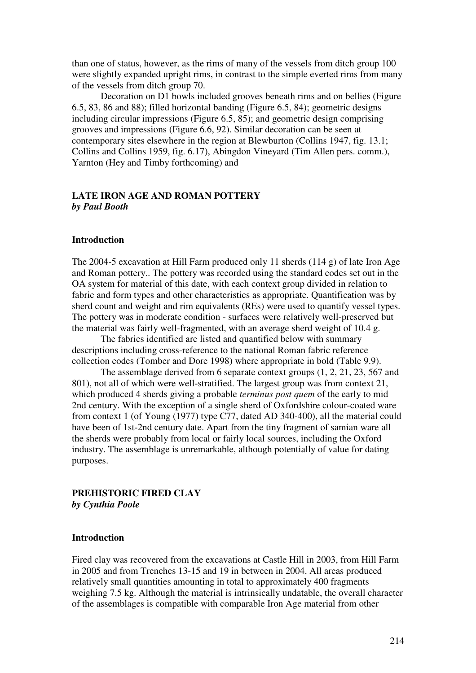than one of status, however, as the rims of many of the vessels from ditch group 100 were slightly expanded upright rims, in contrast to the simple everted rims from many of the vessels from ditch group 70.

Decoration on D1 bowls included grooves beneath rims and on bellies (Figure 6.5, 83, 86 and 88); filled horizontal banding (Figure 6.5, 84); geometric designs including circular impressions (Figure 6.5, 85); and geometric design comprising grooves and impressions (Figure 6.6, 92). Similar decoration can be seen at contemporary sites elsewhere in the region at Blewburton (Collins 1947, fig. 13.1; Collins and Collins 1959, fig. 6.17), Abingdon Vineyard (Tim Allen pers. comm.), Yarnton (Hey and Timby forthcoming) and

# **LATE IRON AGE AND ROMAN POTTERY**  *by Paul Booth*

### **Introduction**

The 2004-5 excavation at Hill Farm produced only 11 sherds (114 g) of late Iron Age and Roman pottery.. The pottery was recorded using the standard codes set out in the OA system for material of this date, with each context group divided in relation to fabric and form types and other characteristics as appropriate. Quantification was by sherd count and weight and rim equivalents (REs) were used to quantify vessel types. The pottery was in moderate condition - surfaces were relatively well-preserved but the material was fairly well-fragmented, with an average sherd weight of 10.4 g.

The fabrics identified are listed and quantified below with summary descriptions including cross-reference to the national Roman fabric reference collection codes (Tomber and Dore 1998) where appropriate in bold (Table 9.9).

The assemblage derived from 6 separate context groups (1, 2, 21, 23, 567 and 801), not all of which were well-stratified. The largest group was from context 21, which produced 4 sherds giving a probable *terminus post quem* of the early to mid 2nd century. With the exception of a single sherd of Oxfordshire colour-coated ware from context 1 (of Young (1977) type C77, dated AD 340-400), all the material could have been of 1st-2nd century date. Apart from the tiny fragment of samian ware all the sherds were probably from local or fairly local sources, including the Oxford industry. The assemblage is unremarkable, although potentially of value for dating purposes.

### **PREHISTORIC FIRED CLAY**  *by Cynthia Poole*

# **Introduction**

Fired clay was recovered from the excavations at Castle Hill in 2003, from Hill Farm in 2005 and from Trenches 13-15 and 19 in between in 2004. All areas produced relatively small quantities amounting in total to approximately 400 fragments weighing 7.5 kg. Although the material is intrinsically undatable, the overall character of the assemblages is compatible with comparable Iron Age material from other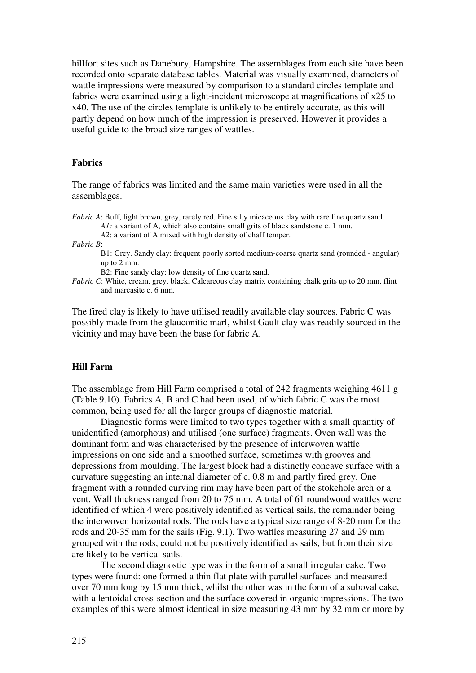hillfort sites such as Danebury, Hampshire. The assemblages from each site have been recorded onto separate database tables. Material was visually examined, diameters of wattle impressions were measured by comparison to a standard circles template and fabrics were examined using a light-incident microscope at magnifications of x25 to x40. The use of the circles template is unlikely to be entirely accurate, as this will partly depend on how much of the impression is preserved. However it provides a useful guide to the broad size ranges of wattles.

# **Fabrics**

The range of fabrics was limited and the same main varieties were used in all the assemblages.

*Fabric A*: Buff, light brown, grey, rarely red. Fine silty micaceous clay with rare fine quartz sand.

*A1*: a variant of A, which also contains small grits of black sandstone c. 1 mm.

*A2*: a variant of A mixed with high density of chaff temper.

*Fabric B*:

B1: Grey. Sandy clay: frequent poorly sorted medium-coarse quartz sand (rounded - angular) up to 2 mm.

B2: Fine sandy clay: low density of fine quartz sand.

*Fabric C*: White, cream, grey, black. Calcareous clay matrix containing chalk grits up to 20 mm, flint and marcasite c. 6 mm.

The fired clay is likely to have utilised readily available clay sources. Fabric C was possibly made from the glauconitic marl, whilst Gault clay was readily sourced in the vicinity and may have been the base for fabric A.

#### **Hill Farm**

The assemblage from Hill Farm comprised a total of 242 fragments weighing 4611 g (Table 9.10). Fabrics A, B and C had been used, of which fabric C was the most common, being used for all the larger groups of diagnostic material.

Diagnostic forms were limited to two types together with a small quantity of unidentified (amorphous) and utilised (one surface) fragments. Oven wall was the dominant form and was characterised by the presence of interwoven wattle impressions on one side and a smoothed surface, sometimes with grooves and depressions from moulding. The largest block had a distinctly concave surface with a curvature suggesting an internal diameter of c. 0.8 m and partly fired grey. One fragment with a rounded curving rim may have been part of the stokehole arch or a vent. Wall thickness ranged from 20 to 75 mm. A total of 61 roundwood wattles were identified of which 4 were positively identified as vertical sails, the remainder being the interwoven horizontal rods. The rods have a typical size range of 8-20 mm for the rods and 20-35 mm for the sails (Fig. 9.1). Two wattles measuring 27 and 29 mm grouped with the rods, could not be positively identified as sails, but from their size are likely to be vertical sails.

The second diagnostic type was in the form of a small irregular cake. Two types were found: one formed a thin flat plate with parallel surfaces and measured over 70 mm long by 15 mm thick, whilst the other was in the form of a suboval cake, with a lentoidal cross-section and the surface covered in organic impressions. The two examples of this were almost identical in size measuring 43 mm by 32 mm or more by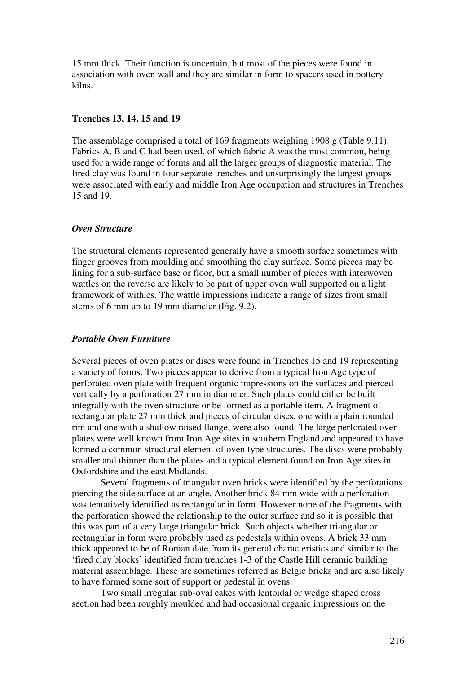15 mm thick. Their function is uncertain, but most of the pieces were found in association with oven wall and they are similar in form to spacers used in pottery kilns.

### **Trenches 13, 14, 15 and 19**

The assemblage comprised a total of 169 fragments weighing 1908 g (Table 9.11). Fabrics A, B and C had been used, of which fabric A was the most common, being used for a wide range of forms and all the larger groups of diagnostic material. The fired clay was found in four separate trenches and unsurprisingly the largest groups were associated with early and middle Iron Age occupation and structures in Trenches 15 and 19.

# *Oven Structure*

The structural elements represented generally have a smooth surface sometimes with finger grooves from moulding and smoothing the clay surface. Some pieces may be lining for a sub-surface base or floor, but a small number of pieces with interwoven wattles on the reverse are likely to be part of upper oven wall supported on a light framework of withies. The wattle impressions indicate a range of sizes from small stems of 6 mm up to 19 mm diameter (Fig. 9.2).

# *Portable Oven Furniture*

Several pieces of oven plates or discs were found in Trenches 15 and 19 representing a variety of forms. Two pieces appear to derive from a typical Iron Age type of perforated oven plate with frequent organic impressions on the surfaces and pierced vertically by a perforation 27 mm in diameter. Such plates could either be built integrally with the oven structure or be formed as a portable item. A fragment of rectangular plate 27 mm thick and pieces of circular discs, one with a plain rounded rim and one with a shallow raised flange, were also found. The large perforated oven plates were well known from Iron Age sites in southern England and appeared to have formed a common structural element of oven type structures. The discs were probably smaller and thinner than the plates and a typical element found on Iron Age sites in Oxfordshire and the east Midlands.

Several fragments of triangular oven bricks were identified by the perforations piercing the side surface at an angle. Another brick 84 mm wide with a perforation was tentatively identified as rectangular in form. However none of the fragments with the perforation showed the relationship to the outer surface and so it is possible that this was part of a very large triangular brick. Such objects whether triangular or rectangular in form were probably used as pedestals within ovens. A brick 33 mm thick appeared to be of Roman date from its general characteristics and similar to the 'fired clay blocks' identified from trenches 1-3 of the Castle Hill ceramic building material assemblage. These are sometimes referred as Belgic bricks and are also likely to have formed some sort of support or pedestal in ovens.

Two small irregular sub-oval cakes with lentoidal or wedge shaped cross section had been roughly moulded and had occasional organic impressions on the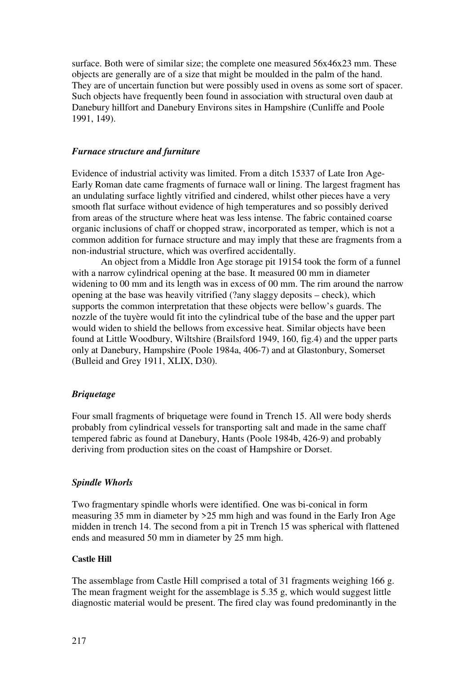surface. Both were of similar size; the complete one measured 56x46x23 mm. These objects are generally are of a size that might be moulded in the palm of the hand. They are of uncertain function but were possibly used in ovens as some sort of spacer. Such objects have frequently been found in association with structural oven daub at Danebury hillfort and Danebury Environs sites in Hampshire (Cunliffe and Poole 1991, 149).

### *Furnace structure and furniture*

Evidence of industrial activity was limited. From a ditch 15337 of Late Iron Age-Early Roman date came fragments of furnace wall or lining. The largest fragment has an undulating surface lightly vitrified and cindered, whilst other pieces have a very smooth flat surface without evidence of high temperatures and so possibly derived from areas of the structure where heat was less intense. The fabric contained coarse organic inclusions of chaff or chopped straw, incorporated as temper, which is not a common addition for furnace structure and may imply that these are fragments from a non-industrial structure, which was overfired accidentally.

An object from a Middle Iron Age storage pit 19154 took the form of a funnel with a narrow cylindrical opening at the base. It measured 00 mm in diameter widening to 00 mm and its length was in excess of 00 mm. The rim around the narrow opening at the base was heavily vitrified (?any slaggy deposits – check), which supports the common interpretation that these objects were bellow's guards. The nozzle of the tuyère would fit into the cylindrical tube of the base and the upper part would widen to shield the bellows from excessive heat. Similar objects have been found at Little Woodbury, Wiltshire (Brailsford 1949, 160, fig.4) and the upper parts only at Danebury, Hampshire (Poole 1984a, 406-7) and at Glastonbury, Somerset (Bulleid and Grey 1911, XLIX, D30).

# *Briquetage*

Four small fragments of briquetage were found in Trench 15. All were body sherds probably from cylindrical vessels for transporting salt and made in the same chaff tempered fabric as found at Danebury, Hants (Poole 1984b, 426-9) and probably deriving from production sites on the coast of Hampshire or Dorset.

# *Spindle Whorls*

Two fragmentary spindle whorls were identified. One was bi-conical in form measuring 35 mm in diameter by >25 mm high and was found in the Early Iron Age midden in trench 14. The second from a pit in Trench 15 was spherical with flattened ends and measured 50 mm in diameter by 25 mm high.

### **Castle Hill**

The assemblage from Castle Hill comprised a total of 31 fragments weighing 166 g. The mean fragment weight for the assemblage is 5.35 g, which would suggest little diagnostic material would be present. The fired clay was found predominantly in the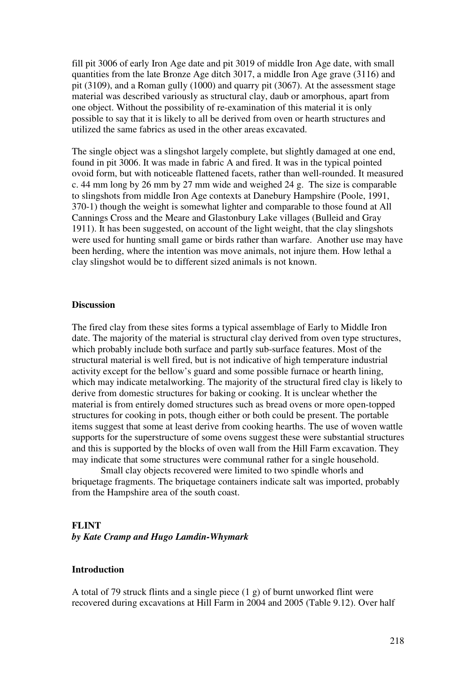fill pit 3006 of early Iron Age date and pit 3019 of middle Iron Age date, with small quantities from the late Bronze Age ditch 3017, a middle Iron Age grave (3116) and pit (3109), and a Roman gully (1000) and quarry pit (3067). At the assessment stage material was described variously as structural clay, daub or amorphous, apart from one object. Without the possibility of re-examination of this material it is only possible to say that it is likely to all be derived from oven or hearth structures and utilized the same fabrics as used in the other areas excavated.

The single object was a slingshot largely complete, but slightly damaged at one end, found in pit 3006. It was made in fabric A and fired. It was in the typical pointed ovoid form, but with noticeable flattened facets, rather than well-rounded. It measured c. 44 mm long by 26 mm by 27 mm wide and weighed 24 g. The size is comparable to slingshots from middle Iron Age contexts at Danebury Hampshire (Poole, 1991, 370-1) though the weight is somewhat lighter and comparable to those found at All Cannings Cross and the Meare and Glastonbury Lake villages (Bulleid and Gray 1911). It has been suggested, on account of the light weight, that the clay slingshots were used for hunting small game or birds rather than warfare. Another use may have been herding, where the intention was move animals, not injure them. How lethal a clay slingshot would be to different sized animals is not known.

### **Discussion**

The fired clay from these sites forms a typical assemblage of Early to Middle Iron date. The majority of the material is structural clay derived from oven type structures, which probably include both surface and partly sub-surface features. Most of the structural material is well fired, but is not indicative of high temperature industrial activity except for the bellow's guard and some possible furnace or hearth lining, which may indicate metalworking. The majority of the structural fired clay is likely to derive from domestic structures for baking or cooking. It is unclear whether the material is from entirely domed structures such as bread ovens or more open-topped structures for cooking in pots, though either or both could be present. The portable items suggest that some at least derive from cooking hearths. The use of woven wattle supports for the superstructure of some ovens suggest these were substantial structures and this is supported by the blocks of oven wall from the Hill Farm excavation. They may indicate that some structures were communal rather for a single household.

Small clay objects recovered were limited to two spindle whorls and briquetage fragments. The briquetage containers indicate salt was imported, probably from the Hampshire area of the south coast.

### **FLINT**

*by Kate Cramp and Hugo Lamdin-Whymark* 

### **Introduction**

A total of 79 struck flints and a single piece (1 g) of burnt unworked flint were recovered during excavations at Hill Farm in 2004 and 2005 (Table 9.12). Over half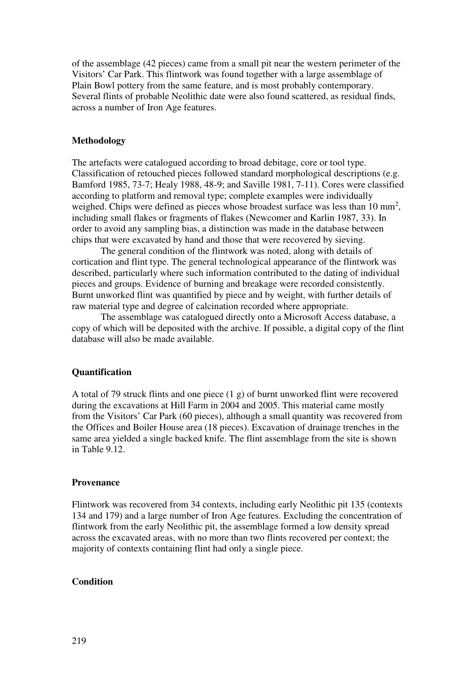of the assemblage (42 pieces) came from a small pit near the western perimeter of the Visitors' Car Park. This flintwork was found together with a large assemblage of Plain Bowl pottery from the same feature, and is most probably contemporary. Several flints of probable Neolithic date were also found scattered, as residual finds, across a number of Iron Age features.

### **Methodology**

The artefacts were catalogued according to broad debitage, core or tool type. Classification of retouched pieces followed standard morphological descriptions (e.g. Bamford 1985, 73-7; Healy 1988, 48-9; and Saville 1981, 7-11). Cores were classified according to platform and removal type; complete examples were individually weighed. Chips were defined as pieces whose broadest surface was less than  $10 \text{ mm}^2$ , including small flakes or fragments of flakes (Newcomer and Karlin 1987, 33). In order to avoid any sampling bias, a distinction was made in the database between chips that were excavated by hand and those that were recovered by sieving.

The general condition of the flintwork was noted, along with details of cortication and flint type. The general technological appearance of the flintwork was described, particularly where such information contributed to the dating of individual pieces and groups. Evidence of burning and breakage were recorded consistently. Burnt unworked flint was quantified by piece and by weight, with further details of raw material type and degree of calcination recorded where appropriate.

The assemblage was catalogued directly onto a Microsoft Access database, a copy of which will be deposited with the archive. If possible, a digital copy of the flint database will also be made available.

### **Quantification**

A total of 79 struck flints and one piece (1 g) of burnt unworked flint were recovered during the excavations at Hill Farm in 2004 and 2005. This material came mostly from the Visitors' Car Park (60 pieces), although a small quantity was recovered from the Offices and Boiler House area (18 pieces). Excavation of drainage trenches in the same area yielded a single backed knife. The flint assemblage from the site is shown in Table 9.12.

#### **Provenance**

Flintwork was recovered from 34 contexts, including early Neolithic pit 135 (contexts 134 and 179) and a large number of Iron Age features. Excluding the concentration of flintwork from the early Neolithic pit, the assemblage formed a low density spread across the excavated areas, with no more than two flints recovered per context; the majority of contexts containing flint had only a single piece.

# **Condition**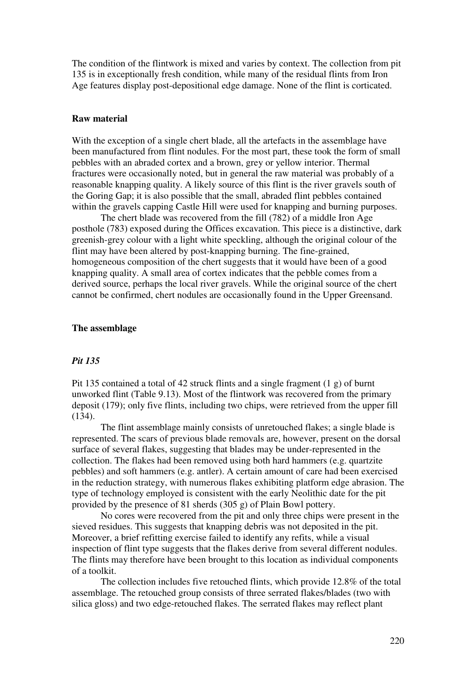The condition of the flintwork is mixed and varies by context. The collection from pit 135 is in exceptionally fresh condition, while many of the residual flints from Iron Age features display post-depositional edge damage. None of the flint is corticated.

### **Raw material**

With the exception of a single chert blade, all the artefacts in the assemblage have been manufactured from flint nodules. For the most part, these took the form of small pebbles with an abraded cortex and a brown, grey or yellow interior. Thermal fractures were occasionally noted, but in general the raw material was probably of a reasonable knapping quality. A likely source of this flint is the river gravels south of the Goring Gap; it is also possible that the small, abraded flint pebbles contained within the gravels capping Castle Hill were used for knapping and burning purposes.

The chert blade was recovered from the fill (782) of a middle Iron Age posthole (783) exposed during the Offices excavation. This piece is a distinctive, dark greenish-grey colour with a light white speckling, although the original colour of the flint may have been altered by post-knapping burning. The fine-grained, homogeneous composition of the chert suggests that it would have been of a good knapping quality. A small area of cortex indicates that the pebble comes from a derived source, perhaps the local river gravels. While the original source of the chert cannot be confirmed, chert nodules are occasionally found in the Upper Greensand.

### **The assemblage**

#### *Pit 135*

Pit 135 contained a total of 42 struck flints and a single fragment (1 g) of burnt unworked flint (Table 9.13). Most of the flintwork was recovered from the primary deposit (179); only five flints, including two chips, were retrieved from the upper fill (134).

The flint assemblage mainly consists of unretouched flakes; a single blade is represented. The scars of previous blade removals are, however, present on the dorsal surface of several flakes, suggesting that blades may be under-represented in the collection. The flakes had been removed using both hard hammers (e.g. quartzite pebbles) and soft hammers (e.g. antler). A certain amount of care had been exercised in the reduction strategy, with numerous flakes exhibiting platform edge abrasion. The type of technology employed is consistent with the early Neolithic date for the pit provided by the presence of 81 sherds (305 g) of Plain Bowl pottery.

No cores were recovered from the pit and only three chips were present in the sieved residues. This suggests that knapping debris was not deposited in the pit. Moreover, a brief refitting exercise failed to identify any refits, while a visual inspection of flint type suggests that the flakes derive from several different nodules. The flints may therefore have been brought to this location as individual components of a toolkit.

The collection includes five retouched flints, which provide 12.8% of the total assemblage. The retouched group consists of three serrated flakes/blades (two with silica gloss) and two edge-retouched flakes. The serrated flakes may reflect plant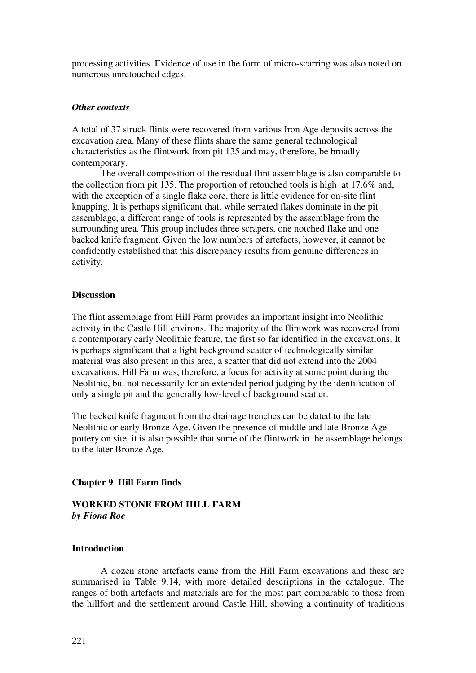processing activities. Evidence of use in the form of micro-scarring was also noted on numerous unretouched edges.

### *Other contexts*

A total of 37 struck flints were recovered from various Iron Age deposits across the excavation area. Many of these flints share the same general technological characteristics as the flintwork from pit 135 and may, therefore, be broadly contemporary.

The overall composition of the residual flint assemblage is also comparable to the collection from pit 135. The proportion of retouched tools is high at 17.6% and, with the exception of a single flake core, there is little evidence for on-site flint knapping. It is perhaps significant that, while serrated flakes dominate in the pit assemblage, a different range of tools is represented by the assemblage from the surrounding area. This group includes three scrapers, one notched flake and one backed knife fragment. Given the low numbers of artefacts, however, it cannot be confidently established that this discrepancy results from genuine differences in activity.

### **Discussion**

The flint assemblage from Hill Farm provides an important insight into Neolithic activity in the Castle Hill environs. The majority of the flintwork was recovered from a contemporary early Neolithic feature, the first so far identified in the excavations. It is perhaps significant that a light background scatter of technologically similar material was also present in this area, a scatter that did not extend into the 2004 excavations. Hill Farm was, therefore, a focus for activity at some point during the Neolithic, but not necessarily for an extended period judging by the identification of only a single pit and the generally low-level of background scatter.

The backed knife fragment from the drainage trenches can be dated to the late Neolithic or early Bronze Age. Given the presence of middle and late Bronze Age pottery on site, it is also possible that some of the flintwork in the assemblage belongs to the later Bronze Age.

### **Chapter 9 Hill Farm finds**

# **WORKED STONE FROM HILL FARM**  *by Fiona Roe*

## **Introduction**

 A dozen stone artefacts came from the Hill Farm excavations and these are summarised in Table 9.14, with more detailed descriptions in the catalogue. The ranges of both artefacts and materials are for the most part comparable to those from the hillfort and the settlement around Castle Hill, showing a continuity of traditions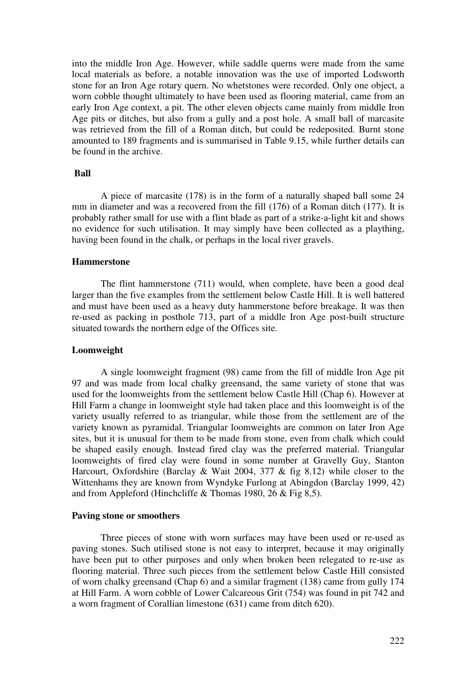into the middle Iron Age. However, while saddle querns were made from the same local materials as before, a notable innovation was the use of imported Lodsworth stone for an Iron Age rotary quern. No whetstones were recorded. Only one object, a worn cobble thought ultimately to have been used as flooring material, came from an early Iron Age context, a pit. The other eleven objects came mainly from middle Iron Age pits or ditches, but also from a gully and a post hole. A small ball of marcasite was retrieved from the fill of a Roman ditch, but could be redeposited. Burnt stone amounted to 189 fragments and is summarised in Table 9.15, while further details can be found in the archive.

### **Ball**

A piece of marcasite (178) is in the form of a naturally shaped ball some 24 mm in diameter and was a recovered from the fill (176) of a Roman ditch (177). It is probably rather small for use with a flint blade as part of a strike-a-light kit and shows no evidence for such utilisation. It may simply have been collected as a plaything, having been found in the chalk, or perhaps in the local river gravels.

### **Hammerstone**

 The flint hammerstone (711) would, when complete, have been a good deal larger than the five examples from the settlement below Castle Hill. It is well battered and must have been used as a heavy duty hammerstone before breakage. It was then re-used as packing in posthole 713, part of a middle Iron Age post-built structure situated towards the northern edge of the Offices site.

### **Loomweight**

 A single loomweight fragment (98) came from the fill of middle Iron Age pit 97 and was made from local chalky greensand, the same variety of stone that was used for the loomweights from the settlement below Castle Hill (Chap 6). However at Hill Farm a change in loomweight style had taken place and this loomweight is of the variety usually referred to as triangular, while those from the settlement are of the variety known as pyramidal. Triangular loomweights are common on later Iron Age sites, but it is unusual for them to be made from stone, even from chalk which could be shaped easily enough. Instead fired clay was the preferred material. Triangular loomweights of fired clay were found in some number at Gravelly Guy, Stanton Harcourt, Oxfordshire (Barclay & Wait 2004, 377 & fig 8.12) while closer to the Wittenhams they are known from Wyndyke Furlong at Abingdon (Barclay 1999, 42) and from Appleford (Hinchcliffe & Thomas 1980, 26 & Fig 8,5).

#### **Paving stone or smoothers**

 Three pieces of stone with worn surfaces may have been used or re-used as paving stones. Such utilised stone is not easy to interpret, because it may originally have been put to other purposes and only when broken been relegated to re-use as flooring material. Three such pieces from the settlement below Castle Hill consisted of worn chalky greensand (Chap 6) and a similar fragment (138) came from gully 174 at Hill Farm. A worn cobble of Lower Calcareous Grit (754) was found in pit 742 and a worn fragment of Corallian limestone (631) came from ditch 620).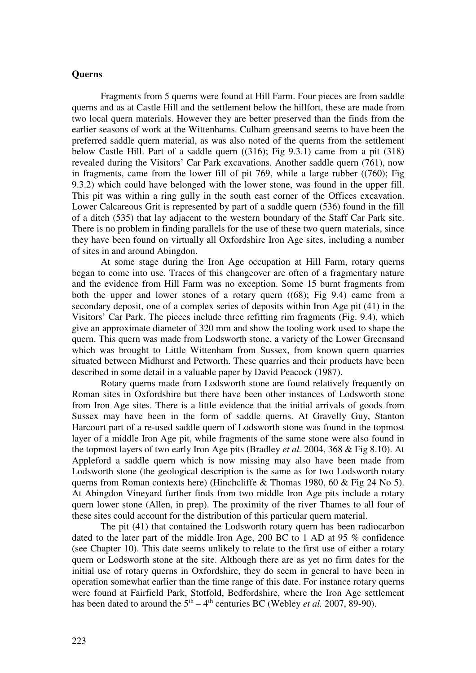### **Querns**

 Fragments from 5 querns were found at Hill Farm. Four pieces are from saddle querns and as at Castle Hill and the settlement below the hillfort, these are made from two local quern materials. However they are better preserved than the finds from the earlier seasons of work at the Wittenhams. Culham greensand seems to have been the preferred saddle quern material, as was also noted of the querns from the settlement below Castle Hill. Part of a saddle quern ((316); Fig 9.3.1) came from a pit (318) revealed during the Visitors' Car Park excavations. Another saddle quern (761), now in fragments, came from the lower fill of pit 769, while a large rubber ((760); Fig 9.3.2) which could have belonged with the lower stone, was found in the upper fill. This pit was within a ring gully in the south east corner of the Offices excavation. Lower Calcareous Grit is represented by part of a saddle quern (536) found in the fill of a ditch (535) that lay adjacent to the western boundary of the Staff Car Park site. There is no problem in finding parallels for the use of these two quern materials, since they have been found on virtually all Oxfordshire Iron Age sites, including a number of sites in and around Abingdon.

 At some stage during the Iron Age occupation at Hill Farm, rotary querns began to come into use. Traces of this changeover are often of a fragmentary nature and the evidence from Hill Farm was no exception. Some 15 burnt fragments from both the upper and lower stones of a rotary quern ((68); Fig 9.4) came from a secondary deposit, one of a complex series of deposits within Iron Age pit (41) in the Visitors' Car Park. The pieces include three refitting rim fragments (Fig. 9.4), which give an approximate diameter of 320 mm and show the tooling work used to shape the quern. This quern was made from Lodsworth stone, a variety of the Lower Greensand which was brought to Little Wittenham from Sussex, from known quern quarries situated between Midhurst and Petworth. These quarries and their products have been described in some detail in a valuable paper by David Peacock (1987).

 Rotary querns made from Lodsworth stone are found relatively frequently on Roman sites in Oxfordshire but there have been other instances of Lodsworth stone from Iron Age sites. There is a little evidence that the initial arrivals of goods from Sussex may have been in the form of saddle querns. At Gravelly Guy, Stanton Harcourt part of a re-used saddle quern of Lodsworth stone was found in the topmost layer of a middle Iron Age pit, while fragments of the same stone were also found in the topmost layers of two early Iron Age pits (Bradley *et al.* 2004, 368 & Fig 8.10). At Appleford a saddle quern which is now missing may also have been made from Lodsworth stone (the geological description is the same as for two Lodsworth rotary querns from Roman contexts here) (Hinchcliffe & Thomas 1980, 60 & Fig 24 No 5). At Abingdon Vineyard further finds from two middle Iron Age pits include a rotary quern lower stone (Allen, in prep). The proximity of the river Thames to all four of these sites could account for the distribution of this particular quern material.

 The pit (41) that contained the Lodsworth rotary quern has been radiocarbon dated to the later part of the middle Iron Age, 200 BC to 1 AD at 95 % confidence (see Chapter 10). This date seems unlikely to relate to the first use of either a rotary quern or Lodsworth stone at the site. Although there are as yet no firm dates for the initial use of rotary querns in Oxfordshire, they do seem in general to have been in operation somewhat earlier than the time range of this date. For instance rotary querns were found at Fairfield Park, Stotfold, Bedfordshire, where the Iron Age settlement has been dated to around the  $5<sup>th</sup> - 4<sup>th</sup>$  centuries BC (Webley *et al.* 2007, 89-90).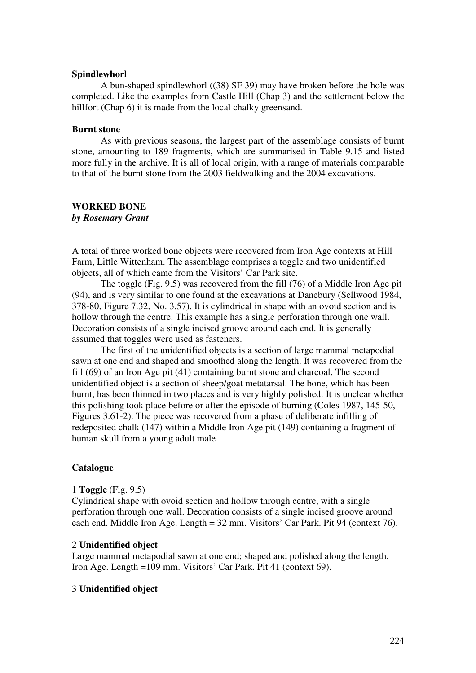### **Spindlewhorl**

 A bun-shaped spindlewhorl ((38) SF 39) may have broken before the hole was completed. Like the examples from Castle Hill (Chap 3) and the settlement below the hillfort (Chap 6) it is made from the local chalky greensand.

### **Burnt stone**

 As with previous seasons, the largest part of the assemblage consists of burnt stone, amounting to 189 fragments, which are summarised in Table 9.15 and listed more fully in the archive. It is all of local origin, with a range of materials comparable to that of the burnt stone from the 2003 fieldwalking and the 2004 excavations.

### **WORKED BONE**

*by Rosemary Grant* 

A total of three worked bone objects were recovered from Iron Age contexts at Hill Farm, Little Wittenham. The assemblage comprises a toggle and two unidentified objects, all of which came from the Visitors' Car Park site.

The toggle (Fig. 9.5) was recovered from the fill (76) of a Middle Iron Age pit (94), and is very similar to one found at the excavations at Danebury (Sellwood 1984, 378-80, Figure 7.32, No. 3.57). It is cylindrical in shape with an ovoid section and is hollow through the centre. This example has a single perforation through one wall. Decoration consists of a single incised groove around each end. It is generally assumed that toggles were used as fasteners.

The first of the unidentified objects is a section of large mammal metapodial sawn at one end and shaped and smoothed along the length. It was recovered from the fill (69) of an Iron Age pit (41) containing burnt stone and charcoal. The second unidentified object is a section of sheep/goat metatarsal. The bone, which has been burnt, has been thinned in two places and is very highly polished. It is unclear whether this polishing took place before or after the episode of burning (Coles 1987, 145-50, Figures 3.61-2). The piece was recovered from a phase of deliberate infilling of redeposited chalk (147) within a Middle Iron Age pit (149) containing a fragment of human skull from a young adult male

### **Catalogue**

#### 1 **Toggle** (Fig. 9.5)

Cylindrical shape with ovoid section and hollow through centre, with a single perforation through one wall. Decoration consists of a single incised groove around each end. Middle Iron Age. Length = 32 mm. Visitors' Car Park. Pit 94 (context 76).

#### 2 **Unidentified object**

Large mammal metapodial sawn at one end; shaped and polished along the length. Iron Age. Length =109 mm. Visitors' Car Park. Pit 41 (context 69).

#### 3 **Unidentified object**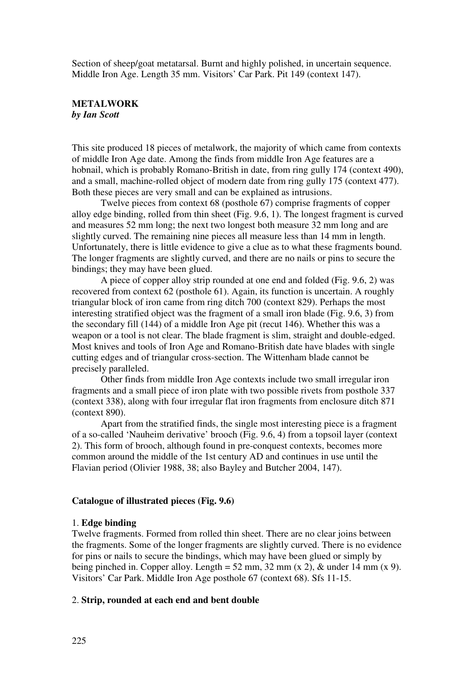Section of sheep/goat metatarsal. Burnt and highly polished, in uncertain sequence. Middle Iron Age. Length 35 mm. Visitors' Car Park. Pit 149 (context 147).

# **METALWORK**  *by Ian Scott*

This site produced 18 pieces of metalwork, the majority of which came from contexts of middle Iron Age date. Among the finds from middle Iron Age features are a hobnail, which is probably Romano-British in date, from ring gully 174 (context 490), and a small, machine-rolled object of modern date from ring gully 175 (context 477). Both these pieces are very small and can be explained as intrusions.

Twelve pieces from context 68 (posthole 67) comprise fragments of copper alloy edge binding, rolled from thin sheet (Fig. 9.6, 1). The longest fragment is curved and measures 52 mm long; the next two longest both measure 32 mm long and are slightly curved. The remaining nine pieces all measure less than 14 mm in length. Unfortunately, there is little evidence to give a clue as to what these fragments bound. The longer fragments are slightly curved, and there are no nails or pins to secure the bindings; they may have been glued.

A piece of copper alloy strip rounded at one end and folded (Fig. 9.6, 2) was recovered from context 62 (posthole 61). Again, its function is uncertain. A roughly triangular block of iron came from ring ditch 700 (context 829). Perhaps the most interesting stratified object was the fragment of a small iron blade (Fig. 9.6, 3) from the secondary fill (144) of a middle Iron Age pit (recut 146). Whether this was a weapon or a tool is not clear. The blade fragment is slim, straight and double-edged. Most knives and tools of Iron Age and Romano-British date have blades with single cutting edges and of triangular cross-section. The Wittenham blade cannot be precisely paralleled.

Other finds from middle Iron Age contexts include two small irregular iron fragments and a small piece of iron plate with two possible rivets from posthole 337 (context 338), along with four irregular flat iron fragments from enclosure ditch 871 (context 890).

Apart from the stratified finds, the single most interesting piece is a fragment of a so-called 'Nauheim derivative' brooch (Fig. 9.6, 4) from a topsoil layer (context 2). This form of brooch, although found in pre-conquest contexts, becomes more common around the middle of the 1st century AD and continues in use until the Flavian period (Olivier 1988, 38; also Bayley and Butcher 2004, 147).

#### **Catalogue of illustrated pieces (Fig. 9.6)**

### 1. **Edge binding**

Twelve fragments. Formed from rolled thin sheet. There are no clear joins between the fragments. Some of the longer fragments are slightly curved. There is no evidence for pins or nails to secure the bindings, which may have been glued or simply by being pinched in. Copper alloy. Length = 52 mm, 32 mm (x 2), & under 14 mm (x 9). Visitors' Car Park. Middle Iron Age posthole 67 (context 68). Sfs 11-15.

# 2. **Strip, rounded at each end and bent double**